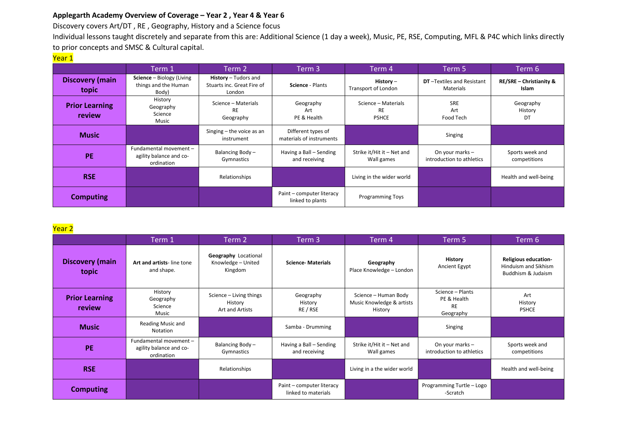## **Applegarth Academy Overview of Coverage – Year 2 , Year 4 & Year 6**

Discovery covers Art/DT , RE , Geography, History and a Science focus

Individual lessons taught discretely and separate from this are: Additional Science (1 day a week), Music, PE, RSE, Computing, MFL & P4C which links directly to prior concepts and SMSC & Cultural capital.

## Year 1

|                                 | Term 1                                                            | Term 2                                                       | Term 3                                         | Term 4                                           | Term 5                                         | Term 6                                      |
|---------------------------------|-------------------------------------------------------------------|--------------------------------------------------------------|------------------------------------------------|--------------------------------------------------|------------------------------------------------|---------------------------------------------|
| <b>Discovery (main</b><br>topic | <b>Science</b> – Biology (Living<br>things and the Human<br>Body) | History - Tudors and<br>Stuarts inc. Great Fire of<br>London | Science - Plants                               | History $-$<br>Transport of London               | <b>DT</b> -Textiles and Resistant<br>Materials | <b>RE/SRE - Christianity &amp;</b><br>Islam |
| <b>Prior Learning</b><br>review | History<br>Geography<br>Science<br>Music                          | Science - Materials<br><b>RE</b><br>Geography                | Geography<br>Art<br>PE & Health                | Science - Materials<br><b>RE</b><br><b>PSHCE</b> | SRE<br>Art<br>Food Tech                        | Geography<br>History<br>DT                  |
| <b>Music</b>                    |                                                                   | Singing $-$ the voice as an<br>instrument                    | Different types of<br>materials of instruments |                                                  | Singing                                        |                                             |
| <b>PE</b>                       | Fundamental movement -<br>agility balance and co-<br>ordination   | Balancing Body -<br>Gymnastics                               | Having a Ball – Sending<br>and receiving       | Strike it/Hit it - Net and<br>Wall games         | On your marks -<br>introduction to athletics   | Sports week and<br>competitions             |
| <b>RSE</b>                      |                                                                   | Relationships                                                |                                                | Living in the wider world                        |                                                | Health and well-being                       |
| <b>Computing</b>                |                                                                   |                                                              | Paint – computer literacy<br>linked to plants  | <b>Programming Toys</b>                          |                                                |                                             |

## Year 2

|                                 | Term 1.                                                        | Term 2                                                | Term 3                                           | Term 4                                                       | Term 5                                                    | Term 6                                                                    |
|---------------------------------|----------------------------------------------------------------|-------------------------------------------------------|--------------------------------------------------|--------------------------------------------------------------|-----------------------------------------------------------|---------------------------------------------------------------------------|
| <b>Discovery (main</b><br>topic | Art and artists-line tone<br>and shape.                        | Geography Locational<br>Knowledge - United<br>Kingdom | <b>Science-Materials</b>                         | Geography<br>Place Knowledge - London                        | History<br>Ancient Egypt                                  | <b>Religious education-</b><br>Hinduism and Sikhism<br>Buddhism & Judaism |
| <b>Prior Learning</b><br>review | History<br>Geography<br>Science<br>Music                       | Science - Living things<br>History<br>Art and Artists | Geography<br>History<br>RE / RSE                 | Science - Human Body<br>Music Knowledge & artists<br>History | Science - Plants<br>PE & Health<br><b>RE</b><br>Geography | Art<br>History<br><b>PSHCE</b>                                            |
| <b>Music</b>                    | Reading Music and<br>Notation                                  |                                                       | Samba - Drumming                                 |                                                              | Singing                                                   |                                                                           |
| PE                              | Fundamental movement-<br>agility balance and co-<br>ordination | Balancing Body -<br>Gymnastics                        | Having a Ball - Sending<br>and receiving         | Strike it/Hit it - Net and<br>Wall games                     | On your marks -<br>introduction to athletics              | Sports week and<br>competitions                                           |
| <b>RSE</b>                      |                                                                | Relationships                                         |                                                  | Living in a the wider world                                  |                                                           | Health and well-being                                                     |
| <b>Computing</b>                |                                                                |                                                       | Paint – computer literacy<br>linked to materials |                                                              | Programming Turtle - Logo<br>-Scratch                     |                                                                           |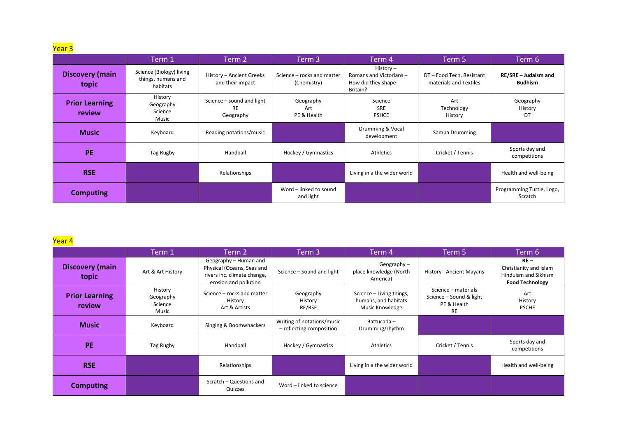<mark>Year 3</mark>

|                                        | Term 1                                                     | Term 2                                              | Term 3                                    | Term 4                                                                | Term 5                                            | Term 6                                 |
|----------------------------------------|------------------------------------------------------------|-----------------------------------------------------|-------------------------------------------|-----------------------------------------------------------------------|---------------------------------------------------|----------------------------------------|
| <b>Discovery (main</b><br>topic        | Science (Biology) living<br>things, humans and<br>habitats | History - Ancient Greeks<br>and their impact        | Science – rocks and matter<br>(Chemistry) | History –<br>Romans and Victorians-<br>How did they shape<br>Britain? | DT-Food Tech, Resistant<br>materials and Textiles | RE/SRE - Judaism and<br><b>Budhism</b> |
| <b>Prior Learning</b><br><b>review</b> | History<br>Geography<br>Science<br>Music                   | Science - sound and light<br><b>RE</b><br>Geography | Geography<br>Art<br>PE & Health           | Science<br><b>SRE</b><br><b>PSHCE</b>                                 | Art<br>Technology<br>History                      | Geography<br>History<br>DT             |
| <b>Music</b>                           | Keyboard                                                   | Reading notations/music                             |                                           | Drumming & Vocal<br>development                                       | Samba Drumming                                    |                                        |
| <b>PE</b>                              | Tag Rugby                                                  | Handball                                            | Hockey / Gymnastics                       | Athletics                                                             | Cricket / Tennis                                  | Sports day and<br>competitions         |
| <b>RSE</b>                             |                                                            | Relationships                                       |                                           | Living in a the wider world                                           |                                                   | Health and well-being                  |
| <b>Computing</b>                       |                                                            |                                                     | Word - linked to sound<br>and light       |                                                                       |                                                   | Programming Turtle, Logo,<br>Scratch   |

## <mark>Year 4</mark>

|                                        | Term 1                                   | Term 2                                                                                                      | Term 3                                                 | Term 4                                                              | Term 5                                                                     | Term 6                                                                             |
|----------------------------------------|------------------------------------------|-------------------------------------------------------------------------------------------------------------|--------------------------------------------------------|---------------------------------------------------------------------|----------------------------------------------------------------------------|------------------------------------------------------------------------------------|
| <b>Discovery (main</b><br>topic        | Art & Art History                        | Geography - Human and<br>Physical (Oceans, Seas and<br>rivers inc. climate change,<br>erosion and pollution | Science - Sound and light                              | Geography $-$<br>place knowledge (North<br>America)                 | History - Ancient Mayans                                                   | $RE -$<br>Christianity and Islam<br>Hinduism and Sikhism<br><b>Food Technology</b> |
| <b>Prior Learning</b><br><b>review</b> | History<br>Geography<br>Science<br>Music | Science - rocks and matter<br>History<br>Art & Artists                                                      | Geography<br>History<br>RE/RSE                         | Science - Living things,<br>humans, and habitats<br>Music Knowledge | Science - materials<br>Science - Sound & light<br>PE & Health<br><b>RE</b> | Art<br>History<br><b>PSCHE</b>                                                     |
| <b>Music</b>                           | Keyboard                                 | Singing & Boomwhackers                                                                                      | Writing of notations/music<br>- reflecting composition | Battucada-<br>Drumming/rhythm                                       |                                                                            |                                                                                    |
| <b>PE</b>                              | Tag Rugby                                | Handball                                                                                                    | Hockey / Gymnastics                                    | Athletics                                                           | Cricket / Tennis                                                           | Sports day and<br>competitions                                                     |
| <b>RSE</b>                             |                                          | Relationships                                                                                               |                                                        | Living in a the wider world                                         |                                                                            | Health and well-being                                                              |
| <b>Computing</b>                       |                                          | Scratch - Questions and<br>Quizzes                                                                          | Word - linked to science                               |                                                                     |                                                                            |                                                                                    |